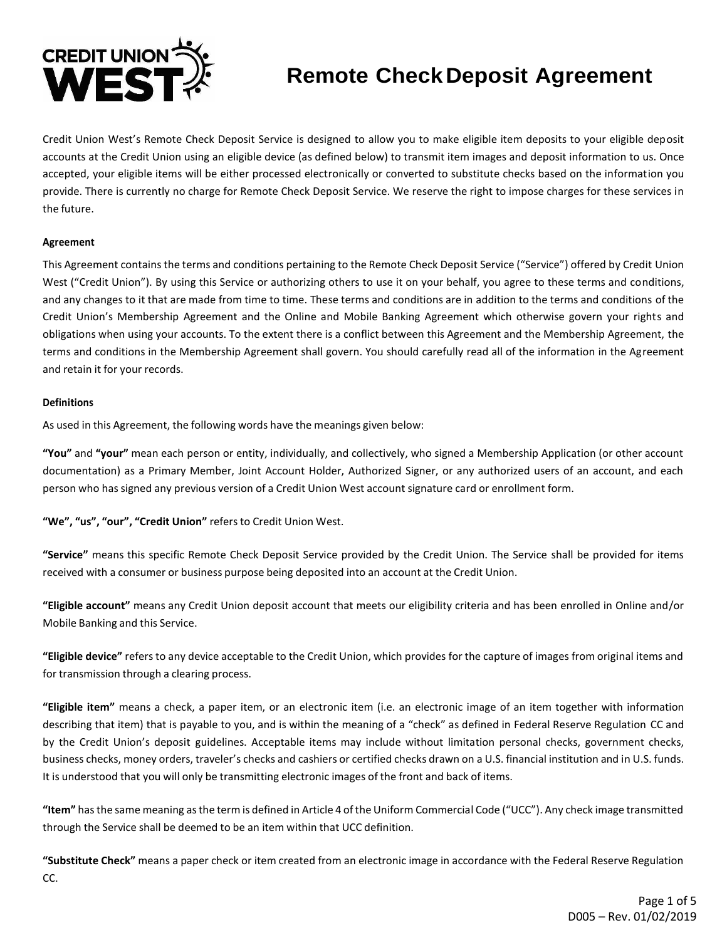

# **Remote CheckDeposit Agreement**

Credit Union West's Remote Check Deposit Service is designed to allow you to make eligible item deposits to your eligible deposit accounts at the Credit Union using an eligible device (as defined below) to transmit item images and deposit information to us. Once accepted, your eligible items will be either processed electronically or converted to substitute checks based on the information you provide. There is currently no charge for Remote Check Deposit Service. We reserve the right to impose charges for these services in the future.

# **Agreement**

This Agreement containsthe terms and conditions pertaining to the Remote Check Deposit Service ("Service") offered by Credit Union West ("Credit Union"). By using this Service or authorizing others to use it on your behalf, you agree to these terms and conditions, and any changes to it that are made from time to time. These terms and conditions are in addition to the terms and conditions of the Credit Union's Membership Agreement and the Online and Mobile Banking Agreement which otherwise govern your rights and obligations when using your accounts. To the extent there is a conflict between this Agreement and the Membership Agreement, the terms and conditions in the Membership Agreement shall govern. You should carefully read all of the information in the Agreement and retain it for your records.

## **Definitions**

As used in this Agreement, the following words have the meanings given below:

**"You"** and **"your"** mean each person or entity, individually, and collectively, who signed a Membership Application (or other account documentation) as a Primary Member, Joint Account Holder, Authorized Signer, or any authorized users of an account, and each person who has signed any previous version of a Credit Union West account signature card or enrollment form.

**"We", "us", "our", "Credit Union"** refersto Credit Union West.

**"Service"** means this specific Remote Check Deposit Service provided by the Credit Union. The Service shall be provided for items received with a consumer or business purpose being deposited into an account at the Credit Union.

**"Eligible account"** means any Credit Union deposit account that meets our eligibility criteria and has been enrolled in Online and/or Mobile Banking and this Service.

**"Eligible device"** refers to any device acceptable to the Credit Union, which provides for the capture of images from original items and for transmission through a clearing process.

**"Eligible item"** means a check, a paper item, or an electronic item (i.e. an electronic image of an item together with information describing that item) that is payable to you, and is within the meaning of a "check" as defined in Federal Reserve Regulation CC and by the Credit Union's deposit guidelines. Acceptable items may include without limitation personal checks, government checks, business checks, money orders, traveler's checks and cashiers or certified checks drawn on a U.S. financial institution and in U.S. funds. It is understood that you will only be transmitting electronic images of the front and back of items.

**"Item"** hasthe same meaning asthe term is defined in Article 4 ofthe Uniform Commercial Code ("UCC"). Any check image transmitted through the Service shall be deemed to be an item within that UCC definition.

**"Substitute Check"** means a paper check or item created from an electronic image in accordance with the Federal Reserve Regulation CC.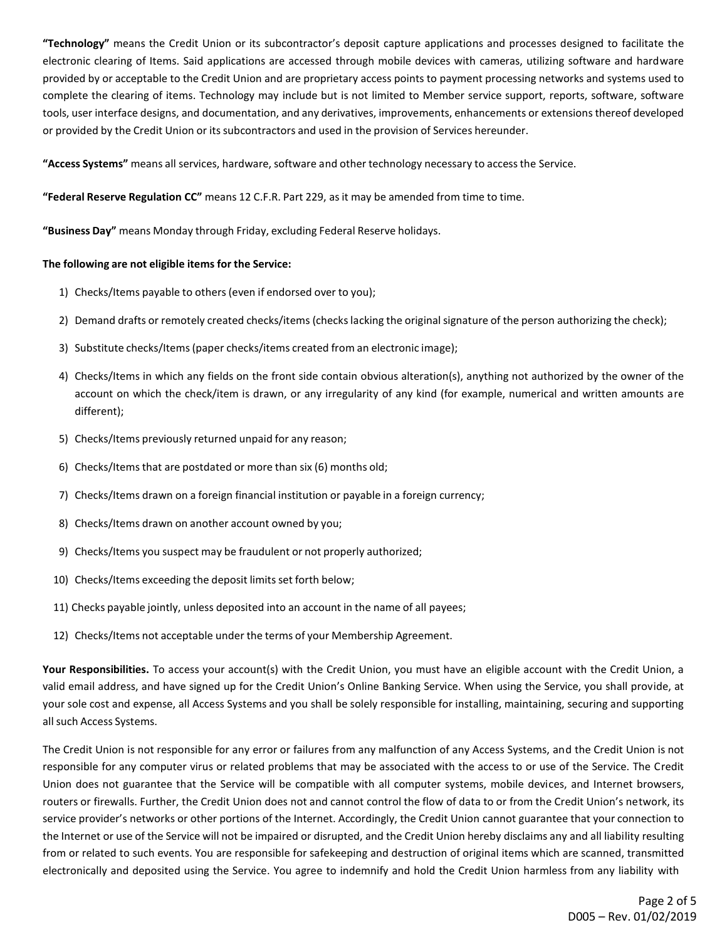**"Technology"** means the Credit Union or its subcontractor's deposit capture applications and processes designed to facilitate the electronic clearing of Items. Said applications are accessed through mobile devices with cameras, utilizing software and hardware provided by or acceptable to the Credit Union and are proprietary access points to payment processing networks and systems used to complete the clearing of items. Technology may include but is not limited to Member service support, reports, software, software tools, user interface designs, and documentation, and any derivatives, improvements, enhancements or extensionsthereof developed or provided by the Credit Union or its subcontractors and used in the provision of Services hereunder.

**"Access Systems"** means all services, hardware, software and other technology necessary to accessthe Service.

**"Federal Reserve Regulation CC"** means 12 C.F.R. Part 229, asit may be amended from time to time.

**"Business Day"** means Monday through Friday, excluding Federal Reserve holidays.

## **The following are not eligible items for the Service:**

- 1) Checks/Items payable to others(even if endorsed over to you);
- 2) Demand drafts or remotely created checks/items (checks lacking the original signature of the person authorizing the check);
- 3) Substitute checks/Items(paper checks/items created from an electronic image);
- 4) Checks/Items in which any fields on the front side contain obvious alteration(s), anything not authorized by the owner of the account on which the check/item is drawn, or any irregularity of any kind (for example, numerical and written amounts are different);
- 5) Checks/Items previously returned unpaid for any reason;
- 6) Checks/Itemsthat are postdated or more than six (6) months old;
- 7) Checks/Items drawn on a foreign financial institution or payable in a foreign currency;
- 8) Checks/Items drawn on another account owned by you;
- 9) Checks/Items you suspect may be fraudulent or not properly authorized;
- 10) Checks/Items exceeding the deposit limits set forth below;
- 11) Checks payable jointly, unless deposited into an account in the name of all payees;
- 12) Checks/Items not acceptable under the terms of your Membership Agreement.

**Your Responsibilities.** To access your account(s) with the Credit Union, you must have an eligible account with the Credit Union, a valid email address, and have signed up for the Credit Union's Online Banking Service. When using the Service, you shall provide, at your sole cost and expense, all Access Systems and you shall be solely responsible for installing, maintaining, securing and supporting allsuch Access Systems.

The Credit Union is not responsible for any error or failures from any malfunction of any Access Systems, and the Credit Union is not responsible for any computer virus or related problems that may be associated with the access to or use of the Service. The Credit Union does not guarantee that the Service will be compatible with all computer systems, mobile devices, and Internet browsers, routers or firewalls. Further, the Credit Union does not and cannot control the flow of data to or from the Credit Union's network, its service provider's networks or other portions of the Internet. Accordingly, the Credit Union cannot guarantee that your connection to the Internet or use of the Service will not be impaired or disrupted, and the Credit Union hereby disclaims any and all liability resulting from or related to such events. You are responsible for safekeeping and destruction of original items which are scanned, transmitted electronically and deposited using the Service. You agree to indemnify and hold the Credit Union harmless from any liability with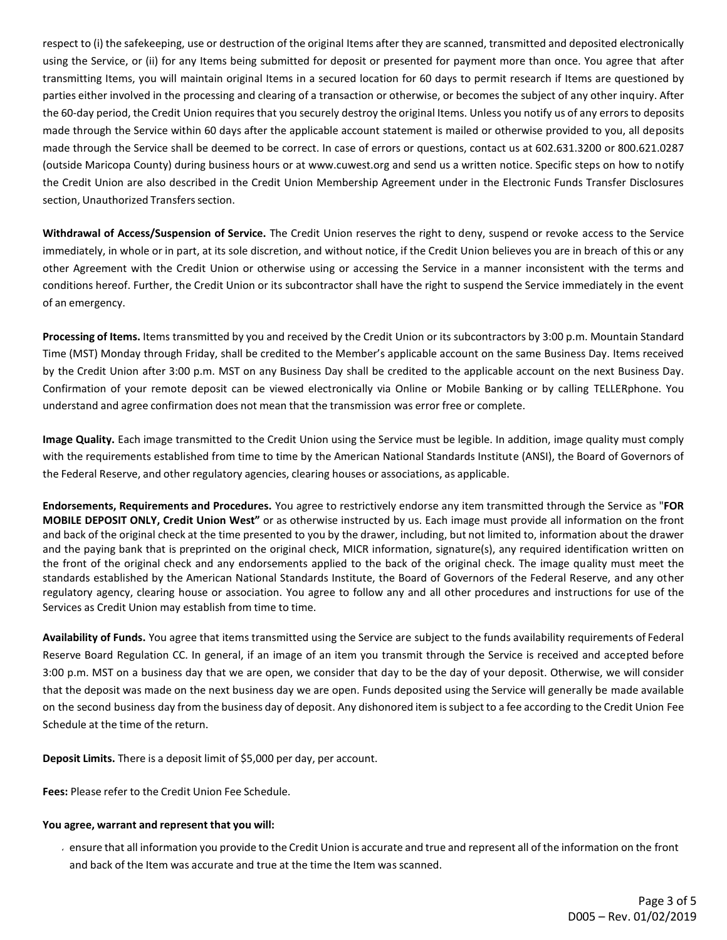respect to (i) the safekeeping, use or destruction of the original Items after they are scanned, transmitted and deposited electronically using the Service, or (ii) for any Items being submitted for deposit or presented for payment more than once. You agree that after transmitting Items, you will maintain original Items in a secured location for 60 days to permit research if Items are questioned by parties either involved in the processing and clearing of a transaction or otherwise, or becomes the subject of any other inquiry. After the 60-day period, the Credit Union requires that you securely destroy the original Items. Unless you notify us of any errors to deposits made through the Service within 60 days after the applicable account statement is mailed or otherwise provided to you, all deposits made through the Service shall be deemed to be correct. In case of errors or questions, contact us at 602.631.3200 or 800.621.0287 (outside Maricopa County) during business hours or at [www.cuwest.org](http://www.cuwest.org/) and send us a written notice. Specific steps on how to notify the Credit Union are also described in the Credit Union Membership Agreement under in the Electronic Funds Transfer Disclosures section, Unauthorized Transfers section.

**Withdrawal of Access/Suspension of Service.** The Credit Union reserves the right to deny, suspend or revoke access to the Service immediately, in whole or in part, at its sole discretion, and without notice, if the Credit Union believes you are in breach of this or any other Agreement with the Credit Union or otherwise using or accessing the Service in a manner inconsistent with the terms and conditions hereof. Further, the Credit Union or its subcontractor shall have the right to suspend the Service immediately in the event of an emergency.

**Processing of Items.** Items transmitted by you and received by the Credit Union or its subcontractors by 3:00 p.m. Mountain Standard Time (MST) Monday through Friday, shall be credited to the Member's applicable account on the same Business Day. Items received by the Credit Union after 3:00 p.m. MST on any Business Day shall be credited to the applicable account on the next Business Day. Confirmation of your remote deposit can be viewed electronically via Online or Mobile Banking or by calling TELLERphone. You understand and agree confirmation does not mean that the transmission was error free or complete.

**Image Quality.** Each image transmitted to the Credit Union using the Service must be legible. In addition, image quality must comply with the requirements established from time to time by the American National Standards Institute (ANSI), the Board of Governors of the Federal Reserve, and other regulatory agencies, clearing houses or associations, as applicable.

**Endorsements, Requirements and Procedures.** You agree to restrictively endorse any item transmitted through the Service as "**FOR MOBILE DEPOSIT ONLY, Credit Union West"** or as otherwise instructed by us. Each image must provide all information on the front and back of the original check at the time presented to you by the drawer, including, but not limited to, information about the drawer and the paying bank that is preprinted on the original check, MICR information, signature(s), any required identification written on the front of the original check and any endorsements applied to the back of the original check. The image quality must meet the standards established by the American National Standards Institute, the Board of Governors of the Federal Reserve, and any other regulatory agency, clearing house or association. You agree to follow any and all other procedures and instructions for use of the Services as Credit Union may establish from time to time.

**Availability of Funds.** You agree that items transmitted using the Service are subject to the funds availability requirements of Federal Reserve Board Regulation CC. In general, if an image of an item you transmit through the Service is received and accepted before 3:00 p.m. MST on a business day that we are open, we consider that day to be the day of your deposit. Otherwise, we will consider that the deposit was made on the next business day we are open. Funds deposited using the Service will generally be made available on the second business day from the business day of deposit. Any dishonored item issubject to a fee according to the Credit Union Fee Schedule at the time of the return.

**Deposit Limits.** There is a deposit limit of \$5,000 per day, per account.

**Fees:** Please refer to the Credit Union Fee Schedule.

# **You agree, warrant and represent that you will:**

ensure that all information you provide to the Credit Union is accurate and true and represent all of the information on the front and back of the Item was accurate and true at the time the Item was scanned.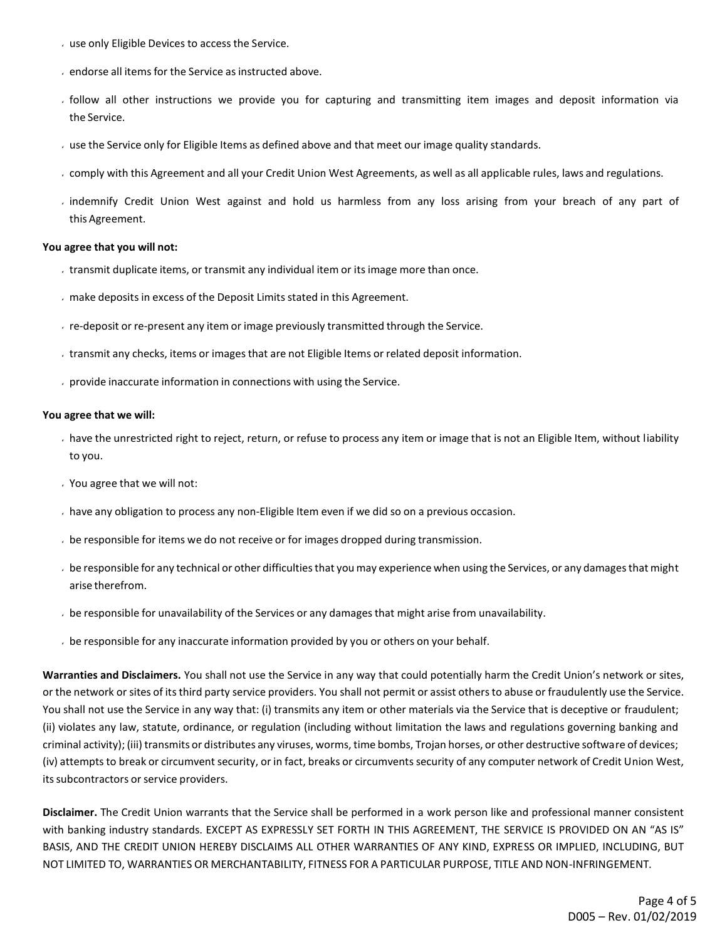- $\cdot$  use only Eligible Devices to access the Service.
- $\cdot$  endorse all items for the Service as instructed above.
- follow all other instructions we provide you for capturing and transmitting item images and deposit information via the Service.
- use the Service only for Eligible Items as defined above and that meet our image quality standards.
- comply with this Agreement and all your Credit Union West Agreements, as well as all applicable rules, laws and regulations.
- indemnify Credit Union West against and hold us harmless from any loss arising from your breach of any part of this Agreement.

#### **You agree that you will not:**

- transmit duplicate items, or transmit any individual item or its image more than once.
- make depositsin excess of the Deposit Limits stated in this Agreement.
- $\cdot$  re-deposit or re-present any item or image previously transmitted through the Service.
- transmit any checks, items or imagesthat are not Eligible Items or related deposit information.
- provide inaccurate information in connections with using the Service.

#### **You agree that we will:**

- have the unrestricted right to reject, return, or refuse to process any item or image that is not an Eligible Item, without liability to you.
- You agree that we will not:
- have any obligation to process any non-Eligible Item even if we did so on a previous occasion.
- be responsible for items we do not receive or for images dropped during transmission.
- be responsible for any technical or other difficultiesthat you may experience when using the Services, or any damagesthat might arise therefrom.
- be responsible for unavailability of the Services or any damagesthat might arise from unavailability.
- be responsible for any inaccurate information provided by you or others on your behalf.

**Warranties and Disclaimers.** You shall not use the Service in any way that could potentially harm the Credit Union's network or sites, or the network or sites of itsthird party service providers. You shall not permit or assist othersto abuse or fraudulently use the Service. You shall not use the Service in any way that: (i) transmits any item or other materials via the Service that is deceptive or fraudulent; (ii) violates any law, statute, ordinance, or regulation (including without limitation the laws and regulations governing banking and criminal activity); (iii) transmits or distributes any viruses, worms, time bombs, Trojan horses, or other destructive software of devices; (iv) attempts to break or circumvent security, or in fact, breaks or circumvents security of any computer network of Credit Union West, its subcontractors or service providers.

**Disclaimer.** The Credit Union warrants that the Service shall be performed in a work person like and professional manner consistent with banking industry standards. EXCEPT AS EXPRESSLY SET FORTH IN THIS AGREEMENT, THE SERVICE IS PROVIDED ON AN "AS IS" BASIS, AND THE CREDIT UNION HEREBY DISCLAIMS ALL OTHER WARRANTIES OF ANY KIND, EXPRESS OR IMPLIED, INCLUDING, BUT NOT LIMITED TO, WARRANTIES OR MERCHANTABILITY, FITNESS FOR A PARTICULAR PURPOSE, TITLE AND NON-INFRINGEMENT.